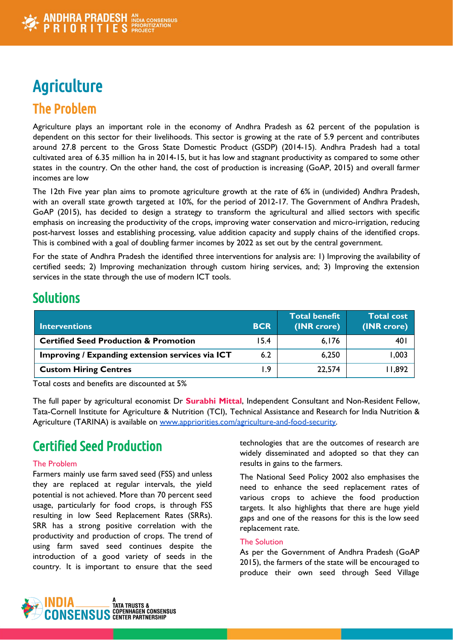# **Agriculture** The Problem

Agriculture plays an important role in the economy of Andhra Pradesh as 62 percent of the population is dependent on this sector for their livelihoods. This sector is growing at the rate of 5.9 percent and contributes around 27.8 percent to the Gross State Domestic Product (GSDP) (2014-15). Andhra Pradesh had a total cultivated area of 6.35 million ha in 2014-15, but it has low and stagnant productivity as compared to some other states in the country. On the other hand, the cost of production is increasing (GoAP, 2015) and overall farmer incomes are low

The 12th Five year plan aims to promote agriculture growth at the rate of 6% in (undivided) Andhra Pradesh, with an overall state growth targeted at 10%, for the period of 2012-17. The Government of Andhra Pradesh, GoAP (2015), has decided to design a strategy to transform the agricultural and allied sectors with specific emphasis on increasing the productivity of the crops, improving water conservation and micro-irrigation, reducing post-harvest losses and establishing processing, value addition capacity and supply chains of the identified crops. This is combined with a goal of doubling farmer incomes by 2022 as set out by the central government.

For the state of Andhra Pradesh the identified three interventions for analysis are: 1) Improving the availability of certified seeds; 2) Improving mechanization through custom hiring services, and; 3) Improving the extension services in the state through the use of modern ICT tools.

### **Solutions**

| <b>Interventions</b>                             | <b>BCR</b> | Total benefit<br>(INR crore) | <b>Total cost</b><br>(INR crore) |
|--------------------------------------------------|------------|------------------------------|----------------------------------|
| <b>Certified Seed Production &amp; Promotion</b> | 15.4       | 6,176                        | 40 I                             |
| Improving / Expanding extension services via ICT | 6.2        | 6,250                        | 1,003                            |
| <b>Custom Hiring Centres</b>                     | 9. ا       | 22,574                       | 11,892                           |

Total costs and benefits are discounted at 5%

The full paper by agricultural economist Dr **Surabhi Mittal**, Independent Consultant and Non-Resident Fellow, Tata-Cornell Institute for Agriculture & Nutrition (TCI), Technical Assistance and Research for India Nutrition & Agriculture (TARINA) is available on [www.appriorities.com/agriculture-and-food-security](http://www.appriorities.com/agriculture-and-food-security).

# Certified Seed Production

#### The Problem

Farmers mainly use farm saved seed (FSS) and unless they are replaced at regular intervals, the yield potential is not achieved. More than 70 percent seed usage, particularly for food crops, is through FSS resulting in low Seed Replacement Rates (SRRs). SRR has a strong positive correlation with the productivity and production of crops. The trend of using farm saved seed continues despite the introduction of a good variety of seeds in the country. It is important to ensure that the seed

technologies that are the outcomes of research are widely disseminated and adopted so that they can results in gains to the farmers.

The National Seed Policy 2002 also emphasises the need to enhance the seed replacement rates of various crops to achieve the food production targets. It also highlights that there are huge yield gaps and one of the reasons for this is the low seed replacement rate.

#### The Solution

As per the Government of Andhra Pradesh (GoAP 2015), the farmers of the state will be encouraged to produce their own seed through Seed Village

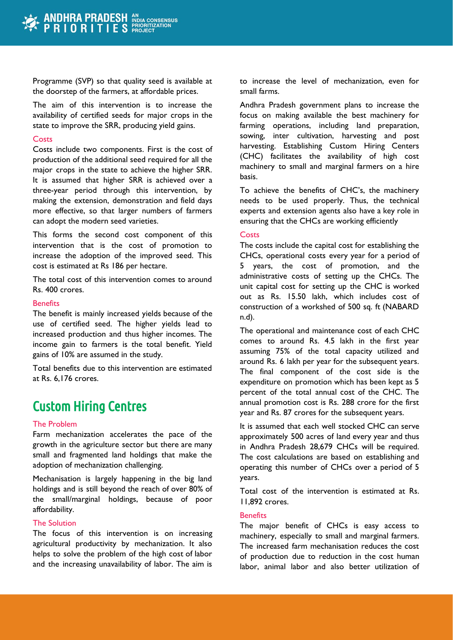Programme (SVP) so that quality seed is available at the doorstep of the farmers, at affordable prices.

The aim of this intervention is to increase the availability of certified seeds for major crops in the state to improve the SRR, producing yield gains.

#### **Costs**

Costs include two components. First is the cost of production of the additional seed required for all the major crops in the state to achieve the higher SRR. It is assumed that higher SRR is achieved over a three-year period through this intervention, by making the extension, demonstration and field days more effective, so that larger numbers of farmers can adopt the modern seed varieties.

This forms the second cost component of this intervention that is the cost of promotion to increase the adoption of the improved seed. This cost is estimated at Rs 186 per hectare.

The total cost of this intervention comes to around Rs. 400 crores.

#### **Benefits**

The benefit is mainly increased yields because of the use of certified seed. The higher yields lead to increased production and thus higher incomes. The income gain to farmers is the total benefit. Yield gains of 10% are assumed in the study.

Total benefits due to this intervention are estimated at Rs. 6,176 crores.

### Custom Hiring Centres

#### The Problem

Farm mechanization accelerates the pace of the growth in the agriculture sector but there are many small and fragmented land holdings that make the adoption of mechanization challenging.

Mechanisation is largely happening in the big land holdings and is still beyond the reach of over 80% of the small/marginal holdings, because of poor affordability.

#### The Solution

The focus of this intervention is on increasing agricultural productivity by mechanization. It also helps to solve the problem of the high cost of labor and the increasing unavailability of labor. The aim is

to increase the level of mechanization, even for small farms.

Andhra Pradesh government plans to increase the focus on making available the best machinery for farming operations, including land preparation, sowing, inter cultivation, harvesting and post harvesting. Establishing Custom Hiring Centers (CHC) facilitates the availability of high cost machinery to small and marginal farmers on a hire basis.

To achieve the benefits of CHC's, the machinery needs to be used properly. Thus, the technical experts and extension agents also have a key role in ensuring that the CHCs are working efficiently

#### **Costs**

The costs include the capital cost for establishing the CHCs, operational costs every year for a period of 5 years, the cost of promotion, and the administrative costs of setting up the CHCs. The unit capital cost for setting up the CHC is worked out as Rs. 15.50 lakh, which includes cost of construction of a workshed of 500 sq. ft (NABARD n.d).

The operational and maintenance cost of each CHC comes to around Rs. 4.5 lakh in the first year assuming 75% of the total capacity utilized and around Rs. 6 lakh per year for the subsequent years. The final component of the cost side is the expenditure on promotion which has been kept as 5 percent of the total annual cost of the CHC. The annual promotion cost is Rs. 288 crore for the first year and Rs. 87 crores for the subsequent years.

It is assumed that each well stocked CHC can serve approximately 500 acres of land every year and thus in Andhra Pradesh 28,679 CHCs will be required. The cost calculations are based on establishing and operating this number of CHCs over a period of 5 years.

Total cost of the intervention is estimated at Rs. 11,892 crores.

#### **Benefits**

The major benefit of CHCs is easy access to machinery, especially to small and marginal farmers. The increased farm mechanisation reduces the cost of production due to reduction in the cost human labor, animal labor and also better utilization of